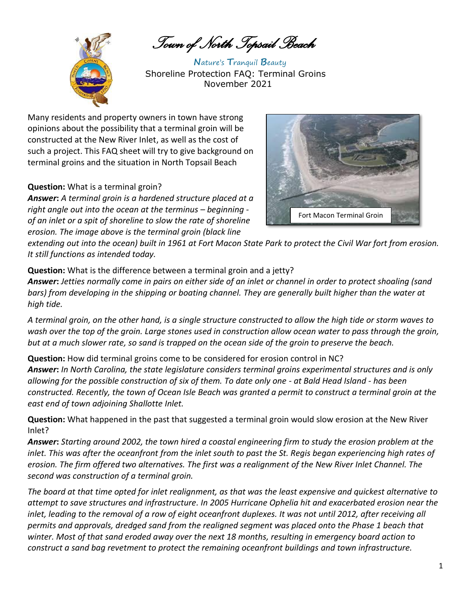*Town of North Topsail Beach* 



**N**ature's **T**ranquil **B**eauty Shoreline Protection FAQ: Terminal Groins November 2021

Many residents and property owners in town have strong opinions about the possibility that a terminal groin will be constructed at the New River Inlet, as well as the cost of such a project. This FAQ sheet will try to give background on terminal groins and the situation in North Topsail Beach

## **Question:** What is a terminal groin?

*Answer***:** *A terminal groin is a hardened structure placed at a right angle out into the ocean at the terminus – beginning of an inlet or a spit of shoreline to slow the rate of shoreline erosion. The image above is the terminal groin (black line* 



*extending out into the ocean) built in 1961 at Fort Macon State Park to protect the Civil War fort from erosion. It still functions as intended today.*

**Question:** What is the difference between a terminal groin and a jetty?

*Answer***:** *Jetties normally come in pairs on either side of an inlet or channel in order to protect shoaling (sand bars) from developing in the shipping or boating channel. They are generally built higher than the water at high tide.* 

*A terminal groin, on the other hand, is a single structure constructed to allow the high tide or storm waves to wash over the top of the groin. Large stones used in construction allow ocean water to pass through the groin, but at a much slower rate, so sand is trapped on the ocean side of the groin to preserve the beach.*

**Question:** How did terminal groins come to be considered for erosion control in NC? *Answer***:** *In North Carolina, the state legislature considers terminal groins experimental structures and is only allowing for the possible construction of six of them. To date only one - at Bald Head Island - has been constructed. Recently, the town of Ocean Isle Beach was granted a permit to construct a terminal groin at the east end of town adjoining Shallotte Inlet.*

**Question:** What happened in the past that suggested a terminal groin would slow erosion at the New River Inlet?

*Answer***:** *Starting around 2002, the town hired a coastal engineering firm to study the erosion problem at the inlet. This was after the oceanfront from the inlet south to past the St. Regis began experiencing high rates of erosion. The firm offered two alternatives. The first was a realignment of the New River Inlet Channel. The second was construction of a terminal groin.*

*The board at that time opted for inlet realignment, as that was the least expensive and quickest alternative to attempt to save structures and infrastructure. In 2005 Hurricane Ophelia hit and exacerbated erosion near the*  inlet, leading to the removal of a row of eight oceanfront duplexes. It was not until 2012, after receiving all *permits and approvals, dredged sand from the realigned segment was placed onto the Phase 1 beach that winter. Most of that sand eroded away over the next 18 months, resulting in emergency board action to construct a sand bag revetment to protect the remaining oceanfront buildings and town infrastructure.*